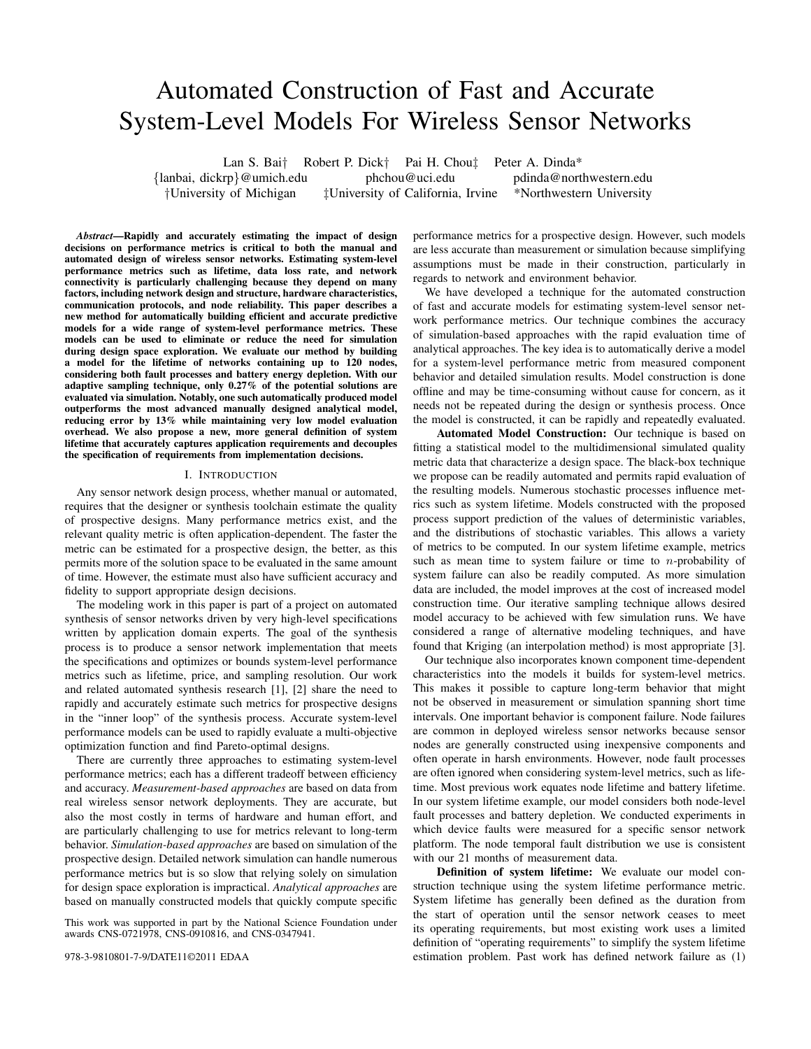# Automated Construction of Fast and Accurate System-Level Models For Wireless Sensor Networks

Lan S. Bai† Robert P. Dick† Pai H. Chou‡ Peter A. Dinda\* {lanbai, dickrp}@umich.edu phchou@uci.edu pdinda@northwestern.edu †University of Michigan ‡University of California, Irvine \*Northwestern University

*Abstract*—Rapidly and accurately estimating the impact of design decisions on performance metrics is critical to both the manual and automated design of wireless sensor networks. Estimating system-level performance metrics such as lifetime, data loss rate, and network connectivity is particularly challenging because they depend on many factors, including network design and structure, hardware characteristics, communication protocols, and node reliability. This paper describes a new method for automatically building efficient and accurate predictive models for a wide range of system-level performance metrics. These models can be used to eliminate or reduce the need for simulation during design space exploration. We evaluate our method by building a model for the lifetime of networks containing up to 120 nodes, considering both fault processes and battery energy depletion. With our adaptive sampling technique, only 0.27% of the potential solutions are evaluated via simulation. Notably, one such automatically produced model outperforms the most advanced manually designed analytical model, reducing error by 13% while maintaining very low model evaluation overhead. We also propose a new, more general definition of system lifetime that accurately captures application requirements and decouples the specification of requirements from implementation decisions.

#### I. INTRODUCTION

Any sensor network design process, whether manual or automated, requires that the designer or synthesis toolchain estimate the quality of prospective designs. Many performance metrics exist, and the relevant quality metric is often application-dependent. The faster the metric can be estimated for a prospective design, the better, as this permits more of the solution space to be evaluated in the same amount of time. However, the estimate must also have sufficient accuracy and fidelity to support appropriate design decisions.

The modeling work in this paper is part of a project on automated synthesis of sensor networks driven by very high-level specifications written by application domain experts. The goal of the synthesis process is to produce a sensor network implementation that meets the specifications and optimizes or bounds system-level performance metrics such as lifetime, price, and sampling resolution. Our work and related automated synthesis research [1], [2] share the need to rapidly and accurately estimate such metrics for prospective designs in the "inner loop" of the synthesis process. Accurate system-level performance models can be used to rapidly evaluate a multi-objective optimization function and find Pareto-optimal designs.

There are currently three approaches to estimating system-level performance metrics; each has a different tradeoff between efficiency and accuracy. *Measurement-based approaches* are based on data from real wireless sensor network deployments. They are accurate, but also the most costly in terms of hardware and human effort, and are particularly challenging to use for metrics relevant to long-term behavior. *Simulation-based approaches* are based on simulation of the prospective design. Detailed network simulation can handle numerous performance metrics but is so slow that relying solely on simulation for design space exploration is impractical. *Analytical approaches* are based on manually constructed models that quickly compute specific

This work was supported in part by the National Science Foundation under awards CNS-0721978, CNS-0910816, and CNS-0347941.

978-3-9810801-7-9/DATE11©2011 EDAA

performance metrics for a prospective design. However, such models are less accurate than measurement or simulation because simplifying assumptions must be made in their construction, particularly in regards to network and environment behavior.

We have developed a technique for the automated construction of fast and accurate models for estimating system-level sensor network performance metrics. Our technique combines the accuracy of simulation-based approaches with the rapid evaluation time of analytical approaches. The key idea is to automatically derive a model for a system-level performance metric from measured component behavior and detailed simulation results. Model construction is done offline and may be time-consuming without cause for concern, as it needs not be repeated during the design or synthesis process. Once the model is constructed, it can be rapidly and repeatedly evaluated.

Automated Model Construction: Our technique is based on fitting a statistical model to the multidimensional simulated quality metric data that characterize a design space. The black-box technique we propose can be readily automated and permits rapid evaluation of the resulting models. Numerous stochastic processes influence metrics such as system lifetime. Models constructed with the proposed process support prediction of the values of deterministic variables, and the distributions of stochastic variables. This allows a variety of metrics to be computed. In our system lifetime example, metrics such as mean time to system failure or time to  $n$ -probability of system failure can also be readily computed. As more simulation data are included, the model improves at the cost of increased model construction time. Our iterative sampling technique allows desired model accuracy to be achieved with few simulation runs. We have considered a range of alternative modeling techniques, and have found that Kriging (an interpolation method) is most appropriate [3].

Our technique also incorporates known component time-dependent characteristics into the models it builds for system-level metrics. This makes it possible to capture long-term behavior that might not be observed in measurement or simulation spanning short time intervals. One important behavior is component failure. Node failures are common in deployed wireless sensor networks because sensor nodes are generally constructed using inexpensive components and often operate in harsh environments. However, node fault processes are often ignored when considering system-level metrics, such as lifetime. Most previous work equates node lifetime and battery lifetime. In our system lifetime example, our model considers both node-level fault processes and battery depletion. We conducted experiments in which device faults were measured for a specific sensor network platform. The node temporal fault distribution we use is consistent with our 21 months of measurement data.

Definition of system lifetime: We evaluate our model construction technique using the system lifetime performance metric. System lifetime has generally been defined as the duration from the start of operation until the sensor network ceases to meet its operating requirements, but most existing work uses a limited definition of "operating requirements" to simplify the system lifetime estimation problem. Past work has defined network failure as (1)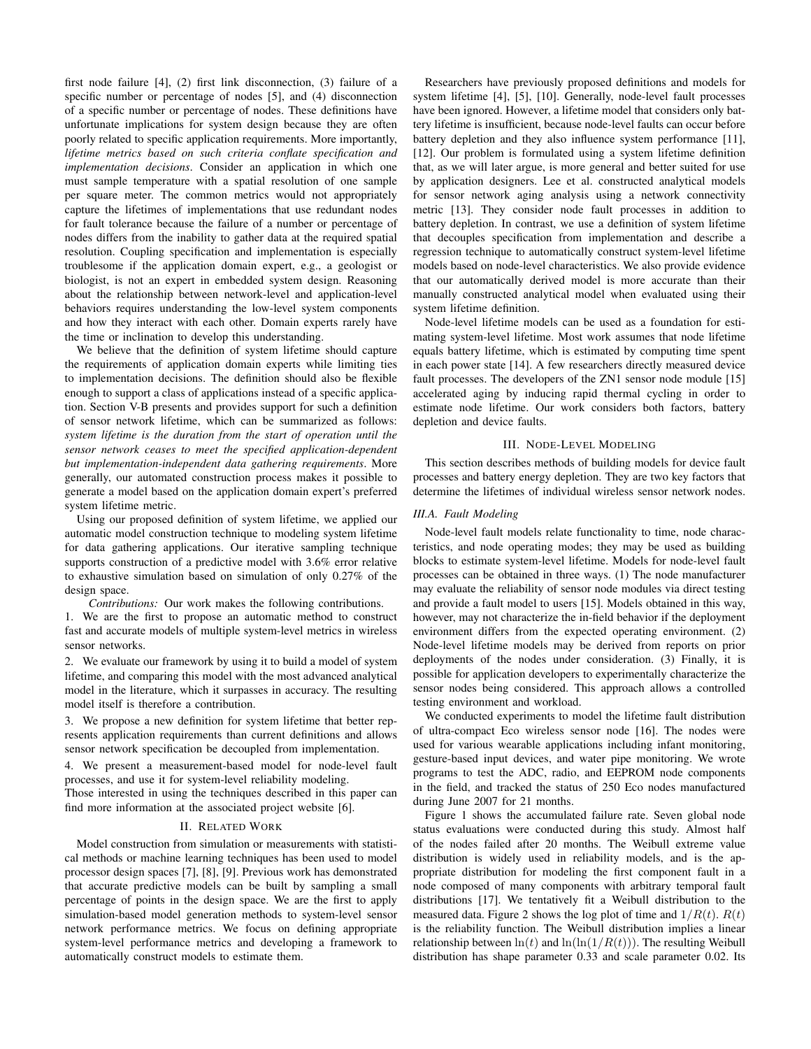first node failure [4], (2) first link disconnection, (3) failure of a specific number or percentage of nodes [5], and (4) disconnection of a specific number or percentage of nodes. These definitions have unfortunate implications for system design because they are often poorly related to specific application requirements. More importantly, *lifetime metrics based on such criteria conflate specification and implementation decisions*. Consider an application in which one must sample temperature with a spatial resolution of one sample per square meter. The common metrics would not appropriately capture the lifetimes of implementations that use redundant nodes for fault tolerance because the failure of a number or percentage of nodes differs from the inability to gather data at the required spatial resolution. Coupling specification and implementation is especially troublesome if the application domain expert, e.g., a geologist or biologist, is not an expert in embedded system design. Reasoning about the relationship between network-level and application-level behaviors requires understanding the low-level system components and how they interact with each other. Domain experts rarely have the time or inclination to develop this understanding.

We believe that the definition of system lifetime should capture the requirements of application domain experts while limiting ties to implementation decisions. The definition should also be flexible enough to support a class of applications instead of a specific application. Section V-B presents and provides support for such a definition of sensor network lifetime, which can be summarized as follows: *system lifetime is the duration from the start of operation until the sensor network ceases to meet the specified application-dependent but implementation-independent data gathering requirements*. More generally, our automated construction process makes it possible to generate a model based on the application domain expert's preferred system lifetime metric.

Using our proposed definition of system lifetime, we applied our automatic model construction technique to modeling system lifetime for data gathering applications. Our iterative sampling technique supports construction of a predictive model with 3.6% error relative to exhaustive simulation based on simulation of only 0.27% of the design space.

*Contributions:* Our work makes the following contributions.

1. We are the first to propose an automatic method to construct fast and accurate models of multiple system-level metrics in wireless sensor networks.

2. We evaluate our framework by using it to build a model of system lifetime, and comparing this model with the most advanced analytical model in the literature, which it surpasses in accuracy. The resulting model itself is therefore a contribution.

3. We propose a new definition for system lifetime that better represents application requirements than current definitions and allows sensor network specification be decoupled from implementation.

4. We present a measurement-based model for node-level fault processes, and use it for system-level reliability modeling.

Those interested in using the techniques described in this paper can find more information at the associated project website [6].

## II. RELATED WORK

Model construction from simulation or measurements with statistical methods or machine learning techniques has been used to model processor design spaces [7], [8], [9]. Previous work has demonstrated that accurate predictive models can be built by sampling a small percentage of points in the design space. We are the first to apply simulation-based model generation methods to system-level sensor network performance metrics. We focus on defining appropriate system-level performance metrics and developing a framework to automatically construct models to estimate them.

Researchers have previously proposed definitions and models for system lifetime [4], [5], [10]. Generally, node-level fault processes have been ignored. However, a lifetime model that considers only battery lifetime is insufficient, because node-level faults can occur before battery depletion and they also influence system performance [11], [12]. Our problem is formulated using a system lifetime definition that, as we will later argue, is more general and better suited for use by application designers. Lee et al. constructed analytical models for sensor network aging analysis using a network connectivity metric [13]. They consider node fault processes in addition to battery depletion. In contrast, we use a definition of system lifetime that decouples specification from implementation and describe a regression technique to automatically construct system-level lifetime models based on node-level characteristics. We also provide evidence that our automatically derived model is more accurate than their manually constructed analytical model when evaluated using their system lifetime definition.

Node-level lifetime models can be used as a foundation for estimating system-level lifetime. Most work assumes that node lifetime equals battery lifetime, which is estimated by computing time spent in each power state [14]. A few researchers directly measured device fault processes. The developers of the ZN1 sensor node module [15] accelerated aging by inducing rapid thermal cycling in order to estimate node lifetime. Our work considers both factors, battery depletion and device faults.

# III. NODE-LEVEL MODELING

This section describes methods of building models for device fault processes and battery energy depletion. They are two key factors that determine the lifetimes of individual wireless sensor network nodes.

# *III.A. Fault Modeling*

Node-level fault models relate functionality to time, node characteristics, and node operating modes; they may be used as building blocks to estimate system-level lifetime. Models for node-level fault processes can be obtained in three ways. (1) The node manufacturer may evaluate the reliability of sensor node modules via direct testing and provide a fault model to users [15]. Models obtained in this way, however, may not characterize the in-field behavior if the deployment environment differs from the expected operating environment. (2) Node-level lifetime models may be derived from reports on prior deployments of the nodes under consideration. (3) Finally, it is possible for application developers to experimentally characterize the sensor nodes being considered. This approach allows a controlled testing environment and workload.

We conducted experiments to model the lifetime fault distribution of ultra-compact Eco wireless sensor node [16]. The nodes were used for various wearable applications including infant monitoring, gesture-based input devices, and water pipe monitoring. We wrote programs to test the ADC, radio, and EEPROM node components in the field, and tracked the status of 250 Eco nodes manufactured during June 2007 for 21 months.

Figure 1 shows the accumulated failure rate. Seven global node status evaluations were conducted during this study. Almost half of the nodes failed after 20 months. The Weibull extreme value distribution is widely used in reliability models, and is the appropriate distribution for modeling the first component fault in a node composed of many components with arbitrary temporal fault distributions [17]. We tentatively fit a Weibull distribution to the measured data. Figure 2 shows the log plot of time and  $1/R(t)$ .  $R(t)$ is the reliability function. The Weibull distribution implies a linear relationship between  $\ln(t)$  and  $\ln(\ln(1/R(t)))$ . The resulting Weibull distribution has shape parameter 0.33 and scale parameter 0.02. Its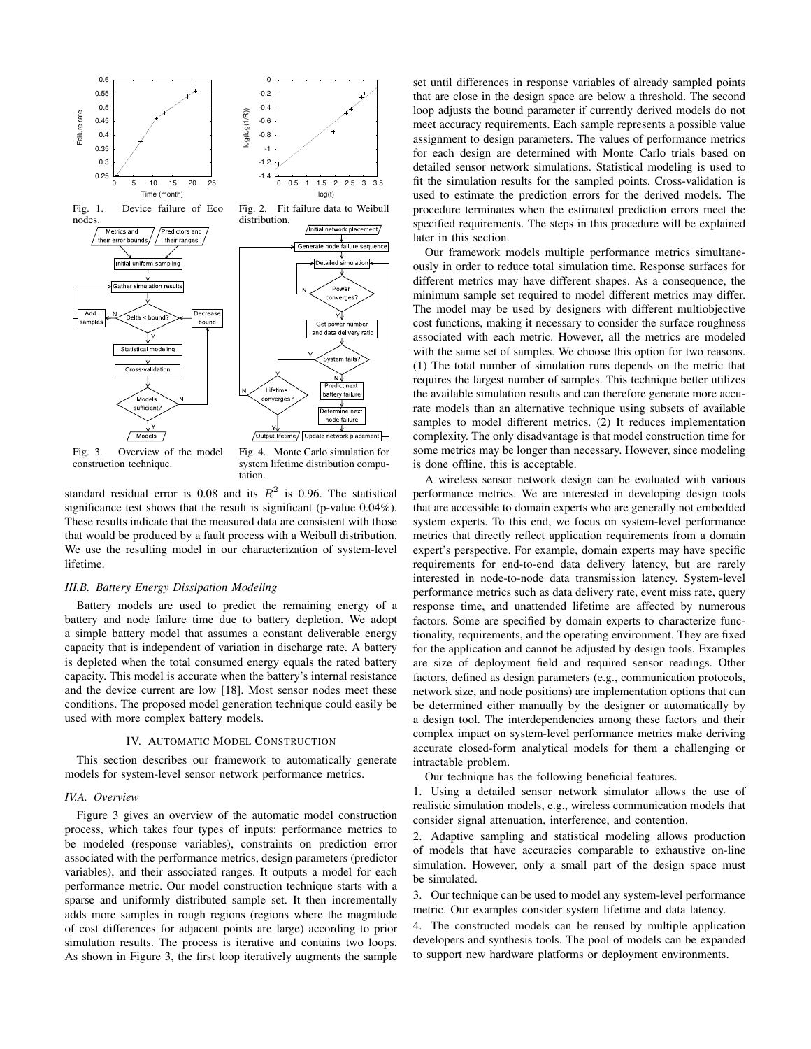

Fig. 3. Overview of the model construction technique.

Fig. 4. Monte Carlo simulation for system lifetime distribution computation.

standard residual error is 0.08 and its  $R^2$  is 0.96. The statistical significance test shows that the result is significant (p-value 0.04%). These results indicate that the measured data are consistent with those that would be produced by a fault process with a Weibull distribution. We use the resulting model in our characterization of system-level lifetime.

## *III.B. Battery Energy Dissipation Modeling*

Battery models are used to predict the remaining energy of a battery and node failure time due to battery depletion. We adopt a simple battery model that assumes a constant deliverable energy capacity that is independent of variation in discharge rate. A battery is depleted when the total consumed energy equals the rated battery capacity. This model is accurate when the battery's internal resistance and the device current are low [18]. Most sensor nodes meet these conditions. The proposed model generation technique could easily be used with more complex battery models.

## IV. AUTOMATIC MODEL CONSTRUCTION

This section describes our framework to automatically generate models for system-level sensor network performance metrics.

## *IV.A. Overview*

Figure 3 gives an overview of the automatic model construction process, which takes four types of inputs: performance metrics to be modeled (response variables), constraints on prediction error associated with the performance metrics, design parameters (predictor variables), and their associated ranges. It outputs a model for each performance metric. Our model construction technique starts with a sparse and uniformly distributed sample set. It then incrementally adds more samples in rough regions (regions where the magnitude of cost differences for adjacent points are large) according to prior simulation results. The process is iterative and contains two loops. As shown in Figure 3, the first loop iteratively augments the sample

set until differences in response variables of already sampled points that are close in the design space are below a threshold. The second loop adjusts the bound parameter if currently derived models do not meet accuracy requirements. Each sample represents a possible value assignment to design parameters. The values of performance metrics for each design are determined with Monte Carlo trials based on detailed sensor network simulations. Statistical modeling is used to fit the simulation results for the sampled points. Cross-validation is used to estimate the prediction errors for the derived models. The procedure terminates when the estimated prediction errors meet the specified requirements. The steps in this procedure will be explained later in this section.

Our framework models multiple performance metrics simultaneously in order to reduce total simulation time. Response surfaces for different metrics may have different shapes. As a consequence, the minimum sample set required to model different metrics may differ. The model may be used by designers with different multiobjective cost functions, making it necessary to consider the surface roughness associated with each metric. However, all the metrics are modeled with the same set of samples. We choose this option for two reasons. (1) The total number of simulation runs depends on the metric that requires the largest number of samples. This technique better utilizes the available simulation results and can therefore generate more accurate models than an alternative technique using subsets of available samples to model different metrics. (2) It reduces implementation complexity. The only disadvantage is that model construction time for some metrics may be longer than necessary. However, since modeling is done offline, this is acceptable.

A wireless sensor network design can be evaluated with various performance metrics. We are interested in developing design tools that are accessible to domain experts who are generally not embedded system experts. To this end, we focus on system-level performance metrics that directly reflect application requirements from a domain expert's perspective. For example, domain experts may have specific requirements for end-to-end data delivery latency, but are rarely interested in node-to-node data transmission latency. System-level performance metrics such as data delivery rate, event miss rate, query response time, and unattended lifetime are affected by numerous factors. Some are specified by domain experts to characterize functionality, requirements, and the operating environment. They are fixed for the application and cannot be adjusted by design tools. Examples are size of deployment field and required sensor readings. Other factors, defined as design parameters (e.g., communication protocols, network size, and node positions) are implementation options that can be determined either manually by the designer or automatically by a design tool. The interdependencies among these factors and their complex impact on system-level performance metrics make deriving accurate closed-form analytical models for them a challenging or intractable problem.

Our technique has the following beneficial features.

1. Using a detailed sensor network simulator allows the use of realistic simulation models, e.g., wireless communication models that consider signal attenuation, interference, and contention.

2. Adaptive sampling and statistical modeling allows production of models that have accuracies comparable to exhaustive on-line simulation. However, only a small part of the design space must be simulated.

3. Our technique can be used to model any system-level performance metric. Our examples consider system lifetime and data latency.

4. The constructed models can be reused by multiple application developers and synthesis tools. The pool of models can be expanded to support new hardware platforms or deployment environments.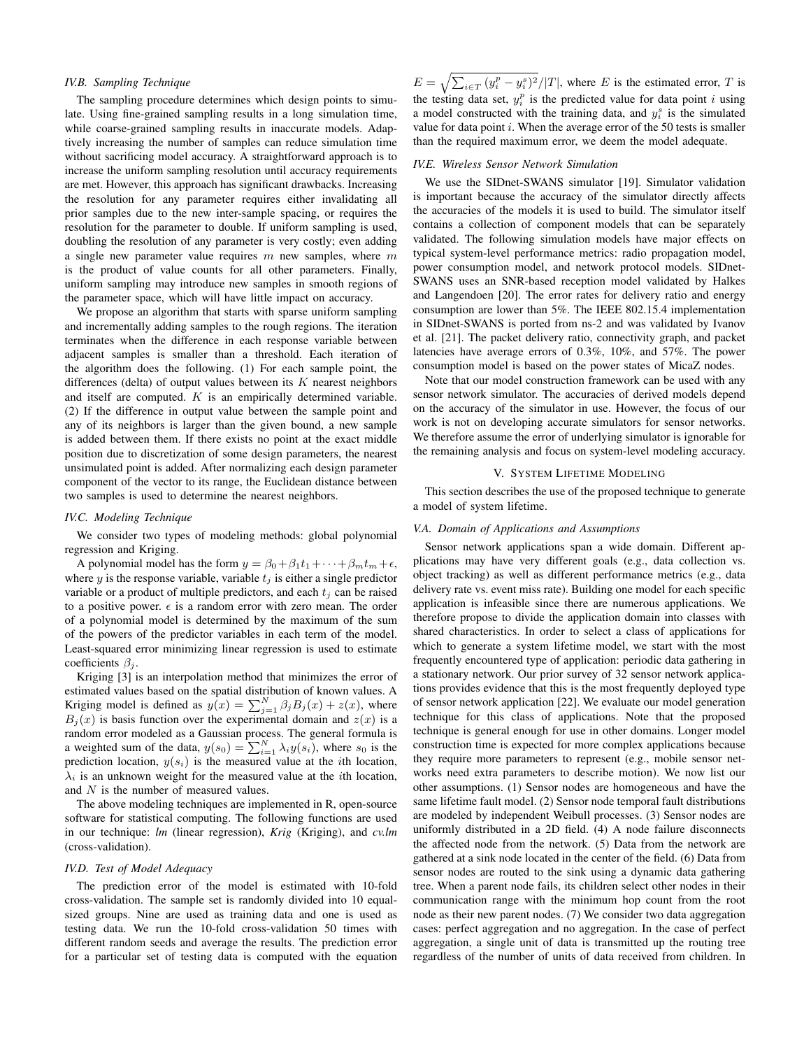#### *IV.B. Sampling Technique*

The sampling procedure determines which design points to simulate. Using fine-grained sampling results in a long simulation time, while coarse-grained sampling results in inaccurate models. Adaptively increasing the number of samples can reduce simulation time without sacrificing model accuracy. A straightforward approach is to increase the uniform sampling resolution until accuracy requirements are met. However, this approach has significant drawbacks. Increasing the resolution for any parameter requires either invalidating all prior samples due to the new inter-sample spacing, or requires the resolution for the parameter to double. If uniform sampling is used, doubling the resolution of any parameter is very costly; even adding a single new parameter value requires  $m$  new samples, where  $m$ is the product of value counts for all other parameters. Finally, uniform sampling may introduce new samples in smooth regions of the parameter space, which will have little impact on accuracy.

We propose an algorithm that starts with sparse uniform sampling and incrementally adding samples to the rough regions. The iteration terminates when the difference in each response variable between adjacent samples is smaller than a threshold. Each iteration of the algorithm does the following. (1) For each sample point, the differences (delta) of output values between its  $K$  nearest neighbors and itself are computed.  $K$  is an empirically determined variable. (2) If the difference in output value between the sample point and any of its neighbors is larger than the given bound, a new sample is added between them. If there exists no point at the exact middle position due to discretization of some design parameters, the nearest unsimulated point is added. After normalizing each design parameter component of the vector to its range, the Euclidean distance between two samples is used to determine the nearest neighbors.

## *IV.C. Modeling Technique*

We consider two types of modeling methods: global polynomial regression and Kriging.

A polynomial model has the form  $y = \beta_0 + \beta_1 t_1 + \cdots + \beta_m t_m + \epsilon$ , where y is the response variable, variable  $t_j$  is either a single predictor variable or a product of multiple predictors, and each  $t_i$  can be raised to a positive power.  $\epsilon$  is a random error with zero mean. The order of a polynomial model is determined by the maximum of the sum of the powers of the predictor variables in each term of the model. Least-squared error minimizing linear regression is used to estimate coefficients  $\beta_i$ .

Kriging [3] is an interpolation method that minimizes the error of estimated values based on the spatial distribution of known values. A Kriging model is defined as  $y(x) = \sum_{j=1}^{N} \beta_j B_j(x) + z(x)$ , where  $B_i(x)$  is basis function over the experimental domain and  $z(x)$  is a random error modeled as a Gaussian process. The general formula is a weighted sum of the data,  $y(s_0) = \sum_{i=1}^{N} \lambda_i y(s_i)$ , where  $s_0$  is the prediction location,  $y(s_i)$  is the measured value at the *i*th location,  $\lambda_i$  is an unknown weight for the measured value at the *i*th location, and N is the number of measured values.

The above modeling techniques are implemented in R, open-source software for statistical computing. The following functions are used in our technique: *lm* (linear regression), *Krig* (Kriging), and *cv.lm* (cross-validation).

## *IV.D. Test of Model Adequacy*

The prediction error of the model is estimated with 10-fold cross-validation. The sample set is randomly divided into 10 equalsized groups. Nine are used as training data and one is used as testing data. We run the 10-fold cross-validation 50 times with different random seeds and average the results. The prediction error for a particular set of testing data is computed with the equation

 $E = \sqrt{\sum_{i \in T} (y_i^p - y_i^s)^2} / |T|$ , where E is the estimated error, T is the testing data set,  $y_i^p$  is the predicted value for data point *i* using a model constructed with the training data, and  $y_i^s$  is the simulated value for data point  $i$ . When the average error of the 50 tests is smaller than the required maximum error, we deem the model adequate.

### *IV.E. Wireless Sensor Network Simulation*

We use the SIDnet-SWANS simulator [19]. Simulator validation is important because the accuracy of the simulator directly affects the accuracies of the models it is used to build. The simulator itself contains a collection of component models that can be separately validated. The following simulation models have major effects on typical system-level performance metrics: radio propagation model, power consumption model, and network protocol models. SIDnet-SWANS uses an SNR-based reception model validated by Halkes and Langendoen [20]. The error rates for delivery ratio and energy consumption are lower than 5%. The IEEE 802.15.4 implementation in SIDnet-SWANS is ported from ns-2 and was validated by Ivanov et al. [21]. The packet delivery ratio, connectivity graph, and packet latencies have average errors of 0.3%, 10%, and 57%. The power consumption model is based on the power states of MicaZ nodes.

Note that our model construction framework can be used with any sensor network simulator. The accuracies of derived models depend on the accuracy of the simulator in use. However, the focus of our work is not on developing accurate simulators for sensor networks. We therefore assume the error of underlying simulator is ignorable for the remaining analysis and focus on system-level modeling accuracy.

#### V. SYSTEM LIFETIME MODELING

This section describes the use of the proposed technique to generate a model of system lifetime.

# *V.A. Domain of Applications and Assumptions*

Sensor network applications span a wide domain. Different applications may have very different goals (e.g., data collection vs. object tracking) as well as different performance metrics (e.g., data delivery rate vs. event miss rate). Building one model for each specific application is infeasible since there are numerous applications. We therefore propose to divide the application domain into classes with shared characteristics. In order to select a class of applications for which to generate a system lifetime model, we start with the most frequently encountered type of application: periodic data gathering in a stationary network. Our prior survey of 32 sensor network applications provides evidence that this is the most frequently deployed type of sensor network application [22]. We evaluate our model generation technique for this class of applications. Note that the proposed technique is general enough for use in other domains. Longer model construction time is expected for more complex applications because they require more parameters to represent (e.g., mobile sensor networks need extra parameters to describe motion). We now list our other assumptions. (1) Sensor nodes are homogeneous and have the same lifetime fault model. (2) Sensor node temporal fault distributions are modeled by independent Weibull processes. (3) Sensor nodes are uniformly distributed in a 2D field. (4) A node failure disconnects the affected node from the network. (5) Data from the network are gathered at a sink node located in the center of the field. (6) Data from sensor nodes are routed to the sink using a dynamic data gathering tree. When a parent node fails, its children select other nodes in their communication range with the minimum hop count from the root node as their new parent nodes. (7) We consider two data aggregation cases: perfect aggregation and no aggregation. In the case of perfect aggregation, a single unit of data is transmitted up the routing tree regardless of the number of units of data received from children. In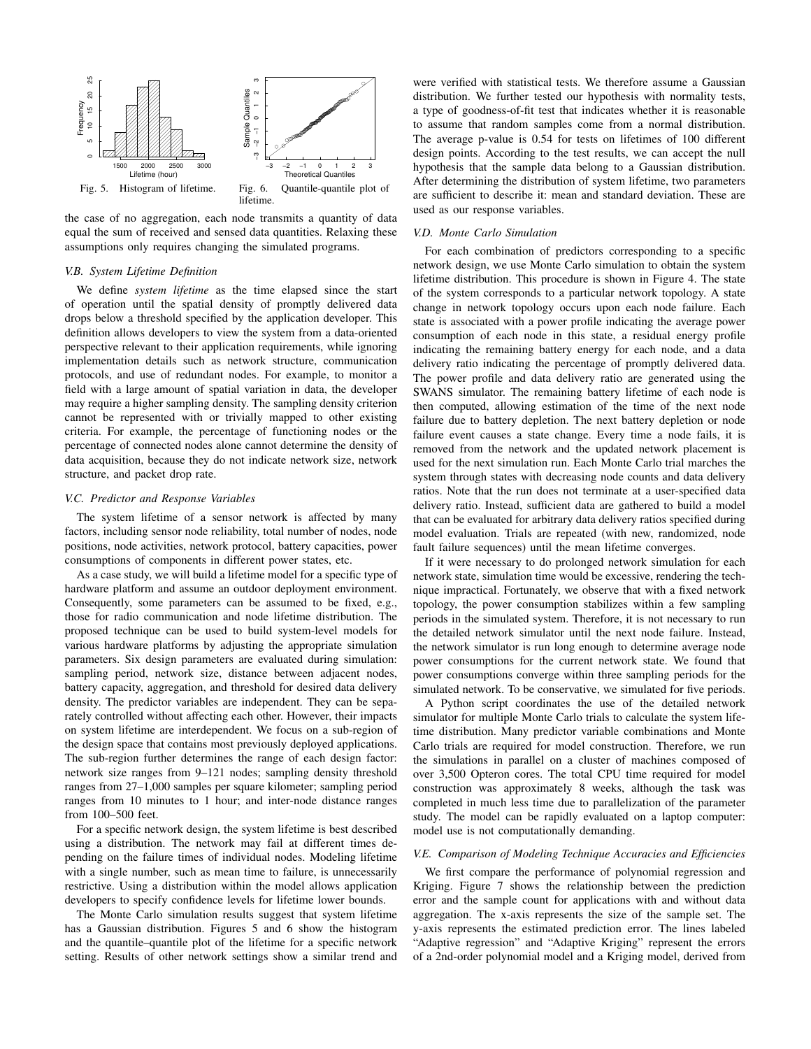

the case of no aggregation, each node transmits a quantity of data equal the sum of received and sensed data quantities. Relaxing these assumptions only requires changing the simulated programs.

## *V.B. System Lifetime Definition*

We define *system lifetime* as the time elapsed since the start of operation until the spatial density of promptly delivered data drops below a threshold specified by the application developer. This definition allows developers to view the system from a data-oriented perspective relevant to their application requirements, while ignoring implementation details such as network structure, communication protocols, and use of redundant nodes. For example, to monitor a field with a large amount of spatial variation in data, the developer may require a higher sampling density. The sampling density criterion cannot be represented with or trivially mapped to other existing criteria. For example, the percentage of functioning nodes or the percentage of connected nodes alone cannot determine the density of data acquisition, because they do not indicate network size, network structure, and packet drop rate.

#### *V.C. Predictor and Response Variables*

The system lifetime of a sensor network is affected by many factors, including sensor node reliability, total number of nodes, node positions, node activities, network protocol, battery capacities, power consumptions of components in different power states, etc.

As a case study, we will build a lifetime model for a specific type of hardware platform and assume an outdoor deployment environment. Consequently, some parameters can be assumed to be fixed, e.g., those for radio communication and node lifetime distribution. The proposed technique can be used to build system-level models for various hardware platforms by adjusting the appropriate simulation parameters. Six design parameters are evaluated during simulation: sampling period, network size, distance between adjacent nodes, battery capacity, aggregation, and threshold for desired data delivery density. The predictor variables are independent. They can be separately controlled without affecting each other. However, their impacts on system lifetime are interdependent. We focus on a sub-region of the design space that contains most previously deployed applications. The sub-region further determines the range of each design factor: network size ranges from 9–121 nodes; sampling density threshold ranges from 27–1,000 samples per square kilometer; sampling period ranges from 10 minutes to 1 hour; and inter-node distance ranges from 100–500 feet.

For a specific network design, the system lifetime is best described using a distribution. The network may fail at different times depending on the failure times of individual nodes. Modeling lifetime with a single number, such as mean time to failure, is unnecessarily restrictive. Using a distribution within the model allows application developers to specify confidence levels for lifetime lower bounds.

The Monte Carlo simulation results suggest that system lifetime has a Gaussian distribution. Figures 5 and 6 show the histogram and the quantile–quantile plot of the lifetime for a specific network setting. Results of other network settings show a similar trend and

were verified with statistical tests. We therefore assume a Gaussian distribution. We further tested our hypothesis with normality tests, a type of goodness-of-fit test that indicates whether it is reasonable to assume that random samples come from a normal distribution. The average p-value is 0.54 for tests on lifetimes of 100 different design points. According to the test results, we can accept the null hypothesis that the sample data belong to a Gaussian distribution. After determining the distribution of system lifetime, two parameters are sufficient to describe it: mean and standard deviation. These are used as our response variables.

## *V.D. Monte Carlo Simulation*

For each combination of predictors corresponding to a specific network design, we use Monte Carlo simulation to obtain the system lifetime distribution. This procedure is shown in Figure 4. The state of the system corresponds to a particular network topology. A state change in network topology occurs upon each node failure. Each state is associated with a power profile indicating the average power consumption of each node in this state, a residual energy profile indicating the remaining battery energy for each node, and a data delivery ratio indicating the percentage of promptly delivered data. The power profile and data delivery ratio are generated using the SWANS simulator. The remaining battery lifetime of each node is then computed, allowing estimation of the time of the next node failure due to battery depletion. The next battery depletion or node failure event causes a state change. Every time a node fails, it is removed from the network and the updated network placement is used for the next simulation run. Each Monte Carlo trial marches the system through states with decreasing node counts and data delivery ratios. Note that the run does not terminate at a user-specified data delivery ratio. Instead, sufficient data are gathered to build a model that can be evaluated for arbitrary data delivery ratios specified during model evaluation. Trials are repeated (with new, randomized, node fault failure sequences) until the mean lifetime converges.

If it were necessary to do prolonged network simulation for each network state, simulation time would be excessive, rendering the technique impractical. Fortunately, we observe that with a fixed network topology, the power consumption stabilizes within a few sampling periods in the simulated system. Therefore, it is not necessary to run the detailed network simulator until the next node failure. Instead, the network simulator is run long enough to determine average node power consumptions for the current network state. We found that power consumptions converge within three sampling periods for the simulated network. To be conservative, we simulated for five periods.

A Python script coordinates the use of the detailed network simulator for multiple Monte Carlo trials to calculate the system lifetime distribution. Many predictor variable combinations and Monte Carlo trials are required for model construction. Therefore, we run the simulations in parallel on a cluster of machines composed of over 3,500 Opteron cores. The total CPU time required for model construction was approximately 8 weeks, although the task was completed in much less time due to parallelization of the parameter study. The model can be rapidly evaluated on a laptop computer: model use is not computationally demanding.

## *V.E. Comparison of Modeling Technique Accuracies and Efficiencies*

We first compare the performance of polynomial regression and Kriging. Figure 7 shows the relationship between the prediction error and the sample count for applications with and without data aggregation. The x-axis represents the size of the sample set. The y-axis represents the estimated prediction error. The lines labeled "Adaptive regression" and "Adaptive Kriging" represent the errors of a 2nd-order polynomial model and a Kriging model, derived from